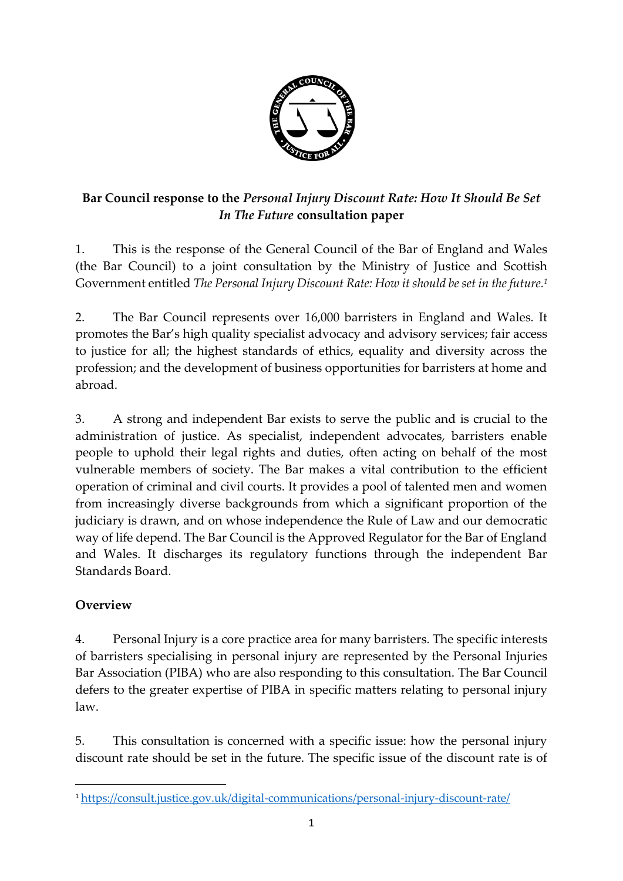

# **Bar Council response to the** *Personal Injury Discount Rate: How It Should Be Set In The Future* **consultation paper**

1. This is the response of the General Council of the Bar of England and Wales (the Bar Council) to a joint consultation by the Ministry of Justice and Scottish Government entitled *The Personal Injury Discount Rate: How it should be set in the future.<sup>1</sup>*

2. The Bar Council represents over 16,000 barristers in England and Wales. It promotes the Bar's high quality specialist advocacy and advisory services; fair access to justice for all; the highest standards of ethics, equality and diversity across the profession; and the development of business opportunities for barristers at home and abroad.

3. A strong and independent Bar exists to serve the public and is crucial to the administration of justice. As specialist, independent advocates, barristers enable people to uphold their legal rights and duties, often acting on behalf of the most vulnerable members of society. The Bar makes a vital contribution to the efficient operation of criminal and civil courts. It provides a pool of talented men and women from increasingly diverse backgrounds from which a significant proportion of the judiciary is drawn, and on whose independence the Rule of Law and our democratic way of life depend. The Bar Council is the Approved Regulator for the Bar of England and Wales. It discharges its regulatory functions through the independent Bar Standards Board.

# **Overview**

**.** 

4. Personal Injury is a core practice area for many barristers. The specific interests of barristers specialising in personal injury are represented by the Personal Injuries Bar Association (PIBA) who are also responding to this consultation. The Bar Council defers to the greater expertise of PIBA in specific matters relating to personal injury law.

5. This consultation is concerned with a specific issue: how the personal injury discount rate should be set in the future. The specific issue of the discount rate is of

<sup>1</sup> <https://consult.justice.gov.uk/digital-communications/personal-injury-discount-rate/>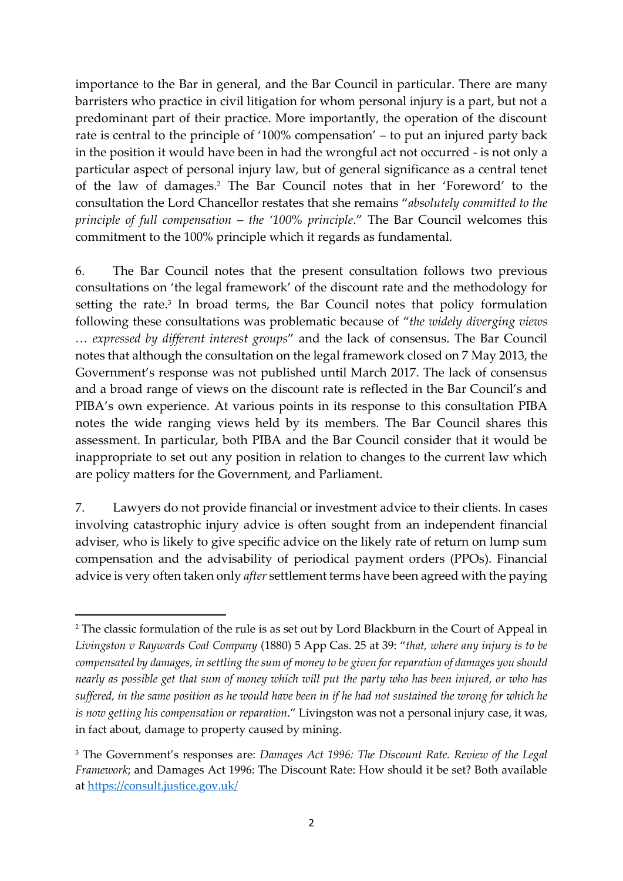importance to the Bar in general, and the Bar Council in particular. There are many barristers who practice in civil litigation for whom personal injury is a part, but not a predominant part of their practice. More importantly, the operation of the discount rate is central to the principle of '100% compensation' – to put an injured party back in the position it would have been in had the wrongful act not occurred - is not only a particular aspect of personal injury law, but of general significance as a central tenet of the law of damages.<sup>2</sup> The Bar Council notes that in her 'Foreword' to the consultation the Lord Chancellor restates that she remains "*absolutely committed to the principle of full compensation – the '100% principle*." The Bar Council welcomes this commitment to the 100% principle which it regards as fundamental.

6. The Bar Council notes that the present consultation follows two previous consultations on 'the legal framework' of the discount rate and the methodology for setting the rate.<sup>3</sup> In broad terms, the Bar Council notes that policy formulation following these consultations was problematic because of "*the widely diverging views … expressed by different interest groups*" and the lack of consensus. The Bar Council notes that although the consultation on the legal framework closed on 7 May 2013, the Government's response was not published until March 2017. The lack of consensus and a broad range of views on the discount rate is reflected in the Bar Council's and PIBA's own experience. At various points in its response to this consultation PIBA notes the wide ranging views held by its members. The Bar Council shares this assessment. In particular, both PIBA and the Bar Council consider that it would be inappropriate to set out any position in relation to changes to the current law which are policy matters for the Government, and Parliament.

7. Lawyers do not provide financial or investment advice to their clients. In cases involving catastrophic injury advice is often sought from an independent financial adviser, who is likely to give specific advice on the likely rate of return on lump sum compensation and the advisability of periodical payment orders (PPOs). Financial advice is very often taken only *after* settlement terms have been agreed with the paying

 $\overline{a}$ 

<sup>&</sup>lt;sup>2</sup> The classic formulation of the rule is as set out by Lord Blackburn in the Court of Appeal in *Livingston v Raywards Coal Company* (1880) 5 App Cas. 25 at 39: "*that, where any injury is to be compensated by damages, in settling the sum of money to be given for reparation of damages you should nearly as possible get that sum of money which will put the party who has been injured, or who has suffered, in the same position as he would have been in if he had not sustained the wrong for which he is now getting his compensation or reparation*." Livingston was not a personal injury case, it was, in fact about, damage to property caused by mining.

<sup>3</sup> The Government's responses are: *Damages Act 1996: The Discount Rate. Review of the Legal Framework*; and Damages Act 1996: The Discount Rate: How should it be set? Both available at<https://consult.justice.gov.uk/>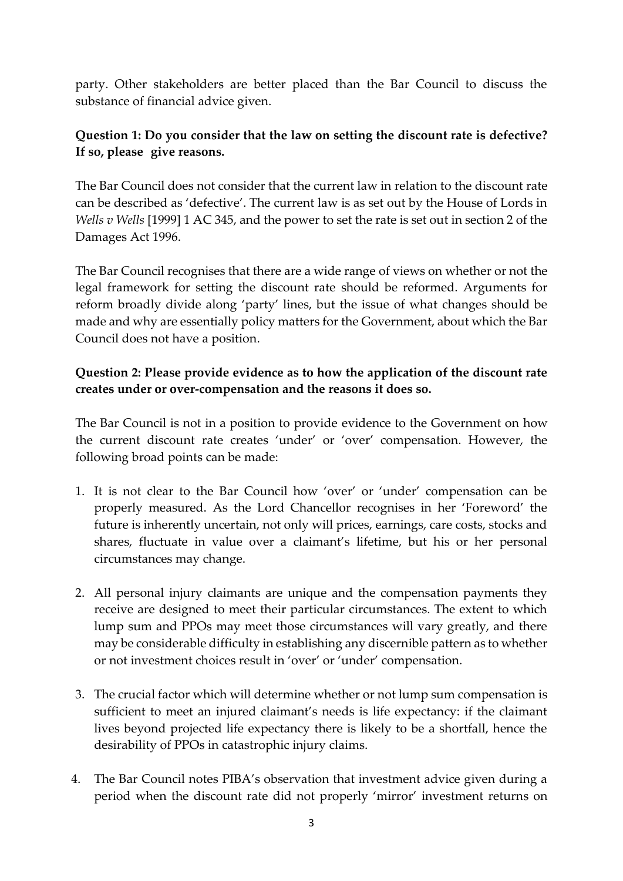party. Other stakeholders are better placed than the Bar Council to discuss the substance of financial advice given.

#### **Question 1: Do you consider that the law on setting the discount rate is defective? If so, please give reasons.**

The Bar Council does not consider that the current law in relation to the discount rate can be described as 'defective'. The current law is as set out by the House of Lords in *Wells v Wells* [1999] 1 AC 345, and the power to set the rate is set out in section 2 of the Damages Act 1996.

The Bar Council recognises that there are a wide range of views on whether or not the legal framework for setting the discount rate should be reformed. Arguments for reform broadly divide along 'party' lines, but the issue of what changes should be made and why are essentially policy matters for the Government, about which the Bar Council does not have a position.

#### **Question 2: Please provide evidence as to how the application of the discount rate creates under or over-compensation and the reasons it does so.**

The Bar Council is not in a position to provide evidence to the Government on how the current discount rate creates 'under' or 'over' compensation. However, the following broad points can be made:

- 1. It is not clear to the Bar Council how 'over' or 'under' compensation can be properly measured. As the Lord Chancellor recognises in her 'Foreword' the future is inherently uncertain, not only will prices, earnings, care costs, stocks and shares, fluctuate in value over a claimant's lifetime, but his or her personal circumstances may change.
- 2. All personal injury claimants are unique and the compensation payments they receive are designed to meet their particular circumstances. The extent to which lump sum and PPOs may meet those circumstances will vary greatly, and there may be considerable difficulty in establishing any discernible pattern as to whether or not investment choices result in 'over' or 'under' compensation.
- 3. The crucial factor which will determine whether or not lump sum compensation is sufficient to meet an injured claimant's needs is life expectancy: if the claimant lives beyond projected life expectancy there is likely to be a shortfall, hence the desirability of PPOs in catastrophic injury claims.
- 4. The Bar Council notes PIBA's observation that investment advice given during a period when the discount rate did not properly 'mirror' investment returns on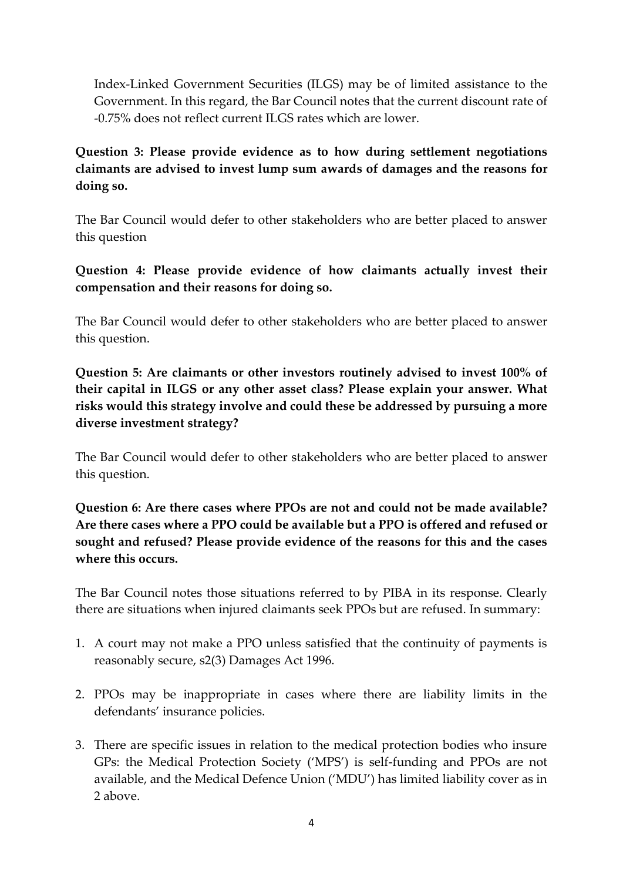Index-Linked Government Securities (ILGS) may be of limited assistance to the Government. In this regard, the Bar Council notes that the current discount rate of -0.75% does not reflect current ILGS rates which are lower.

### **Question 3: Please provide evidence as to how during settlement negotiations claimants are advised to invest lump sum awards of damages and the reasons for doing so.**

The Bar Council would defer to other stakeholders who are better placed to answer this question

**Question 4: Please provide evidence of how claimants actually invest their compensation and their reasons for doing so.**

The Bar Council would defer to other stakeholders who are better placed to answer this question.

**Question 5: Are claimants or other investors routinely advised to invest 100% of their capital in ILGS or any other asset class? Please explain your answer. What risks would this strategy involve and could these be addressed by pursuing a more diverse investment strategy?**

The Bar Council would defer to other stakeholders who are better placed to answer this question.

**Question 6: Are there cases where PPOs are not and could not be made available? Are there cases where a PPO could be available but a PPO is offered and refused or sought and refused? Please provide evidence of the reasons for this and the cases where this occurs.**

The Bar Council notes those situations referred to by PIBA in its response. Clearly there are situations when injured claimants seek PPOs but are refused. In summary:

- 1. A court may not make a PPO unless satisfied that the continuity of payments is reasonably secure, s2(3) Damages Act 1996.
- 2. PPOs may be inappropriate in cases where there are liability limits in the defendants' insurance policies.
- 3. There are specific issues in relation to the medical protection bodies who insure GPs: the Medical Protection Society ('MPS') is self-funding and PPOs are not available, and the Medical Defence Union ('MDU') has limited liability cover as in 2 above.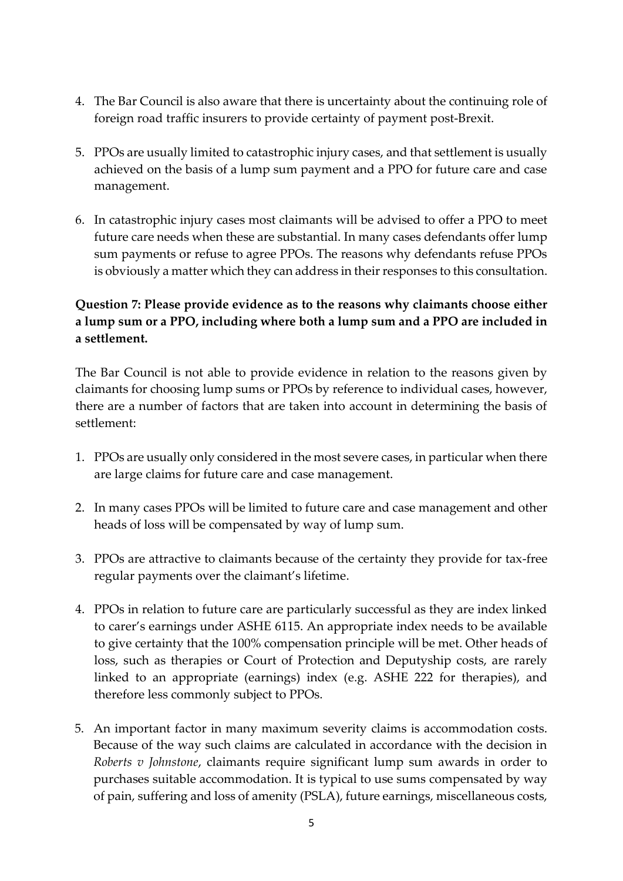- 4. The Bar Council is also aware that there is uncertainty about the continuing role of foreign road traffic insurers to provide certainty of payment post-Brexit.
- 5. PPOs are usually limited to catastrophic injury cases, and that settlement is usually achieved on the basis of a lump sum payment and a PPO for future care and case management.
- 6. In catastrophic injury cases most claimants will be advised to offer a PPO to meet future care needs when these are substantial. In many cases defendants offer lump sum payments or refuse to agree PPOs. The reasons why defendants refuse PPOs is obviously a matter which they can address in their responses to this consultation.

# **Question 7: Please provide evidence as to the reasons why claimants choose either a lump sum or a PPO, including where both a lump sum and a PPO are included in a settlement.**

The Bar Council is not able to provide evidence in relation to the reasons given by claimants for choosing lump sums or PPOs by reference to individual cases, however, there are a number of factors that are taken into account in determining the basis of settlement:

- 1. PPOs are usually only considered in the most severe cases, in particular when there are large claims for future care and case management.
- 2. In many cases PPOs will be limited to future care and case management and other heads of loss will be compensated by way of lump sum.
- 3. PPOs are attractive to claimants because of the certainty they provide for tax-free regular payments over the claimant's lifetime.
- 4. PPOs in relation to future care are particularly successful as they are index linked to carer's earnings under ASHE 6115. An appropriate index needs to be available to give certainty that the 100% compensation principle will be met. Other heads of loss, such as therapies or Court of Protection and Deputyship costs, are rarely linked to an appropriate (earnings) index (e.g. ASHE 222 for therapies), and therefore less commonly subject to PPOs.
- 5. An important factor in many maximum severity claims is accommodation costs. Because of the way such claims are calculated in accordance with the decision in *Roberts v Johnstone*, claimants require significant lump sum awards in order to purchases suitable accommodation. It is typical to use sums compensated by way of pain, suffering and loss of amenity (PSLA), future earnings, miscellaneous costs,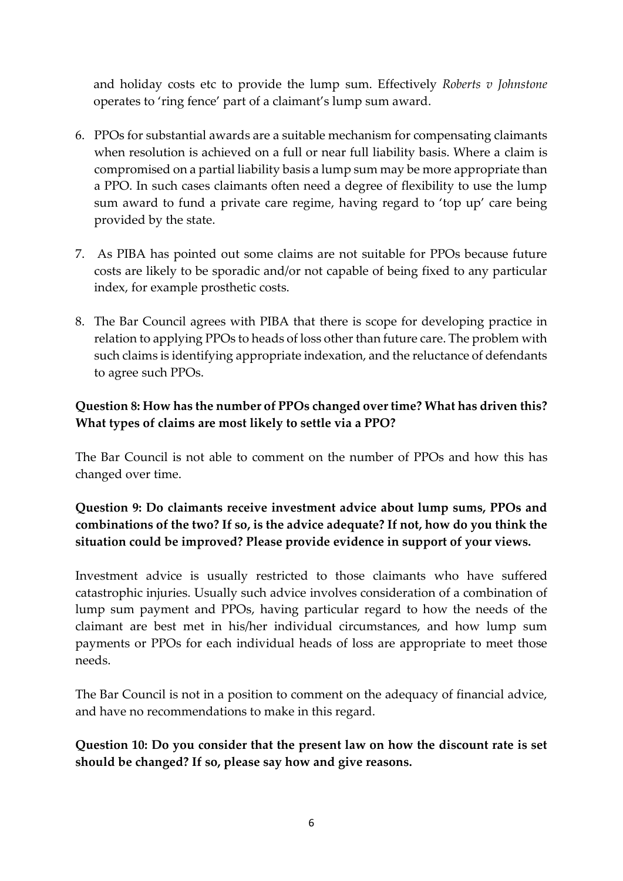and holiday costs etc to provide the lump sum. Effectively *Roberts v Johnstone* operates to 'ring fence' part of a claimant's lump sum award.

- 6. PPOs for substantial awards are a suitable mechanism for compensating claimants when resolution is achieved on a full or near full liability basis. Where a claim is compromised on a partial liability basis a lump sum may be more appropriate than a PPO. In such cases claimants often need a degree of flexibility to use the lump sum award to fund a private care regime, having regard to 'top up' care being provided by the state.
- 7. As PIBA has pointed out some claims are not suitable for PPOs because future costs are likely to be sporadic and/or not capable of being fixed to any particular index, for example prosthetic costs.
- 8. The Bar Council agrees with PIBA that there is scope for developing practice in relation to applying PPOs to heads of loss other than future care. The problem with such claims is identifying appropriate indexation, and the reluctance of defendants to agree such PPOs.

### **Question 8: How has the number of PPOs changed over time? What has driven this? What types of claims are most likely to settle via a PPO?**

The Bar Council is not able to comment on the number of PPOs and how this has changed over time.

### **Question 9: Do claimants receive investment advice about lump sums, PPOs and combinations of the two? If so, is the advice adequate? If not, how do you think the situation could be improved? Please provide evidence in support of your views.**

Investment advice is usually restricted to those claimants who have suffered catastrophic injuries. Usually such advice involves consideration of a combination of lump sum payment and PPOs, having particular regard to how the needs of the claimant are best met in his/her individual circumstances, and how lump sum payments or PPOs for each individual heads of loss are appropriate to meet those needs.

The Bar Council is not in a position to comment on the adequacy of financial advice, and have no recommendations to make in this regard.

**Question 10: Do you consider that the present law on how the discount rate is set should be changed? If so, please say how and give reasons.**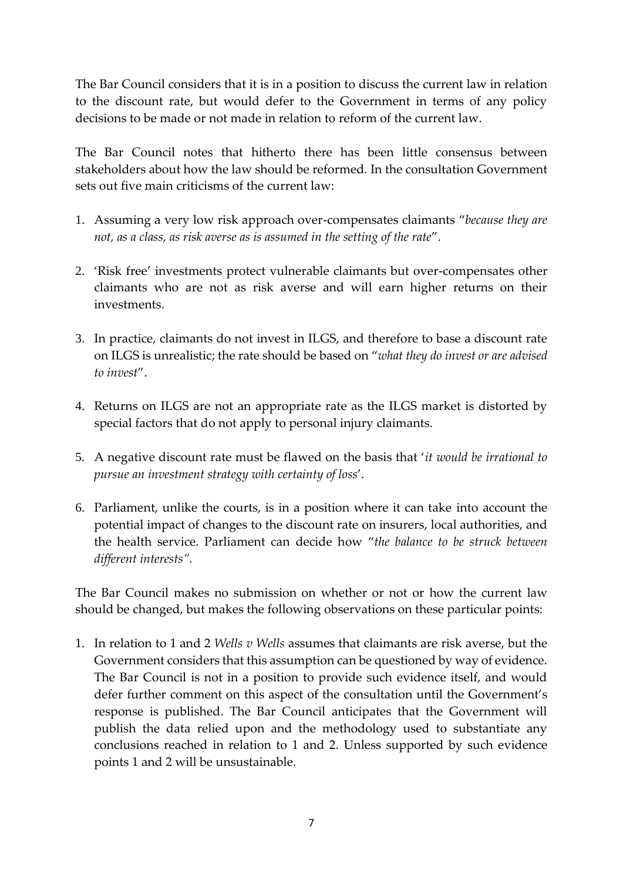The Bar Council considers that it is in a position to discuss the current law in relation to the discount rate, but would defer to the Government in terms of any policy decisions to be made or not made in relation to reform of the current law.

The Bar Council notes that hitherto there has been little consensus between stakeholders about how the law should be reformed. In the consultation Government sets out five main criticisms of the current law:

- 1. Assuming a very low risk approach over-compensates claimants "*because they are not, as a class, as risk averse as is assumed in the setting of the rate*".
- 2. 'Risk free' investments protect vulnerable claimants but over-compensates other claimants who are not as risk averse and will earn higher returns on their investments.
- 3. In practice, claimants do not invest in ILGS, and therefore to base a discount rate on ILGS is unrealistic; the rate should be based on "*what they do invest or are advised to invest*".
- 4. Returns on ILGS are not an appropriate rate as the ILGS market is distorted by special factors that do not apply to personal injury claimants.
- 5. A negative discount rate must be flawed on the basis that '*it would be irrational to pursue an investment strategy with certainty of loss*'.
- 6. Parliament, unlike the courts, is in a position where it can take into account the potential impact of changes to the discount rate on insurers, local authorities, and the health service. Parliament can decide how "*the balance to be struck between different interests".*

The Bar Council makes no submission on whether or not or how the current law should be changed, but makes the following observations on these particular points:

1. In relation to 1 and 2 *Wells v Wells* assumes that claimants are risk averse, but the Government considers that this assumption can be questioned by way of evidence. The Bar Council is not in a position to provide such evidence itself, and would defer further comment on this aspect of the consultation until the Government's response is published. The Bar Council anticipates that the Government will publish the data relied upon and the methodology used to substantiate any conclusions reached in relation to 1 and 2. Unless supported by such evidence points 1 and 2 will be unsustainable.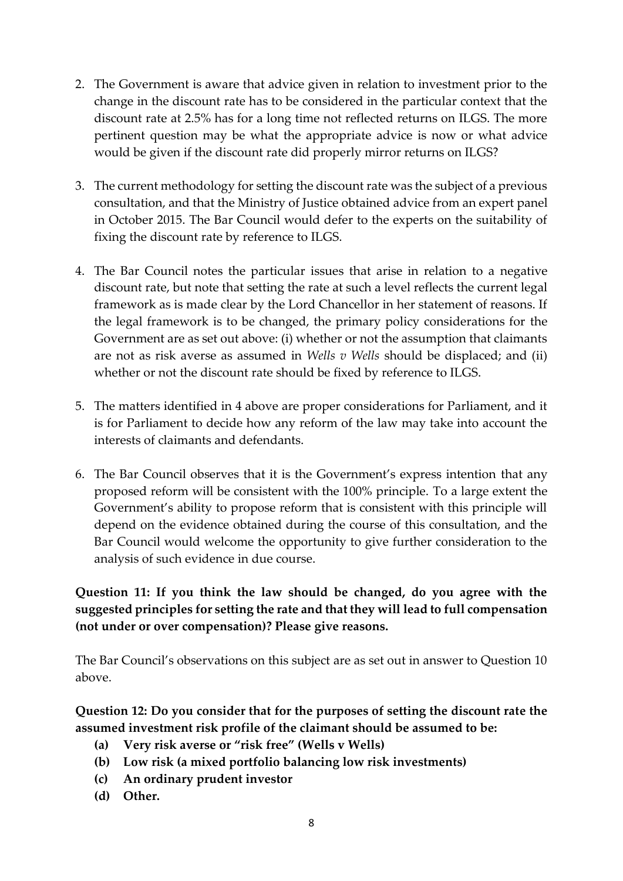- 2. The Government is aware that advice given in relation to investment prior to the change in the discount rate has to be considered in the particular context that the discount rate at 2.5% has for a long time not reflected returns on ILGS. The more pertinent question may be what the appropriate advice is now or what advice would be given if the discount rate did properly mirror returns on ILGS?
- 3. The current methodology for setting the discount rate was the subject of a previous consultation, and that the Ministry of Justice obtained advice from an expert panel in October 2015. The Bar Council would defer to the experts on the suitability of fixing the discount rate by reference to ILGS.
- 4. The Bar Council notes the particular issues that arise in relation to a negative discount rate, but note that setting the rate at such a level reflects the current legal framework as is made clear by the Lord Chancellor in her statement of reasons. If the legal framework is to be changed, the primary policy considerations for the Government are as set out above: (i) whether or not the assumption that claimants are not as risk averse as assumed in *Wells v Wells* should be displaced; and (ii) whether or not the discount rate should be fixed by reference to ILGS.
- 5. The matters identified in 4 above are proper considerations for Parliament, and it is for Parliament to decide how any reform of the law may take into account the interests of claimants and defendants.
- 6. The Bar Council observes that it is the Government's express intention that any proposed reform will be consistent with the 100% principle. To a large extent the Government's ability to propose reform that is consistent with this principle will depend on the evidence obtained during the course of this consultation, and the Bar Council would welcome the opportunity to give further consideration to the analysis of such evidence in due course.

**Question 11: If you think the law should be changed, do you agree with the suggested principles for setting the rate and that they will lead to full compensation (not under or over compensation)? Please give reasons.**

The Bar Council's observations on this subject are as set out in answer to Question 10 above.

**Question 12: Do you consider that for the purposes of setting the discount rate the assumed investment risk profile of the claimant should be assumed to be:**

- **(a) Very risk averse or "risk free" (Wells v Wells)**
- **(b) Low risk (a mixed portfolio balancing low risk investments)**
- **(c) An ordinary prudent investor**
- **(d) Other.**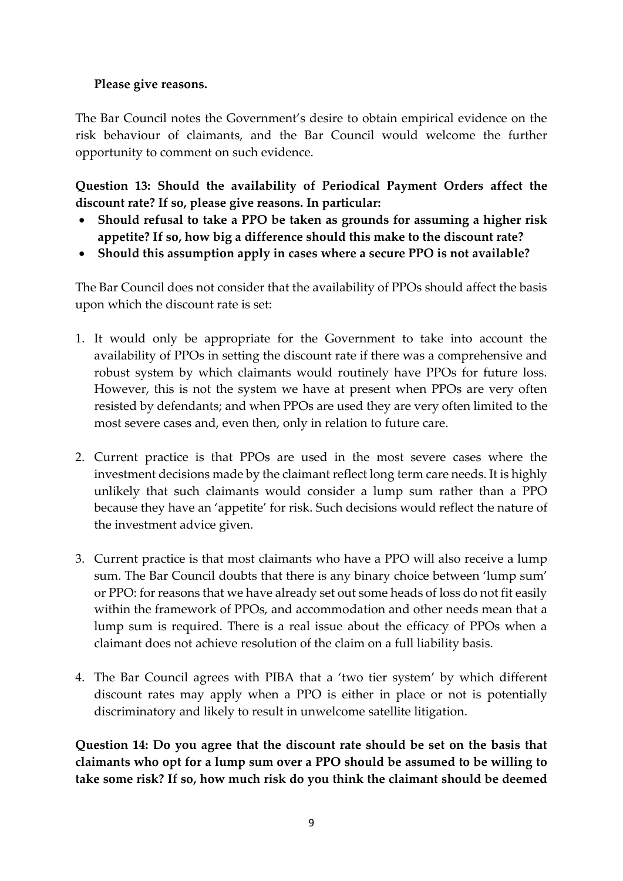#### **Please give reasons.**

The Bar Council notes the Government's desire to obtain empirical evidence on the risk behaviour of claimants, and the Bar Council would welcome the further opportunity to comment on such evidence.

**Question 13: Should the availability of Periodical Payment Orders affect the discount rate? If so, please give reasons. In particular:**

- **Should refusal to take a PPO be taken as grounds for assuming a higher risk appetite? If so, how big a difference should this make to the discount rate?**
- **Should this assumption apply in cases where a secure PPO is not available?**

The Bar Council does not consider that the availability of PPOs should affect the basis upon which the discount rate is set:

- 1. It would only be appropriate for the Government to take into account the availability of PPOs in setting the discount rate if there was a comprehensive and robust system by which claimants would routinely have PPOs for future loss. However, this is not the system we have at present when PPOs are very often resisted by defendants; and when PPOs are used they are very often limited to the most severe cases and, even then, only in relation to future care.
- 2. Current practice is that PPOs are used in the most severe cases where the investment decisions made by the claimant reflect long term care needs. It is highly unlikely that such claimants would consider a lump sum rather than a PPO because they have an 'appetite' for risk. Such decisions would reflect the nature of the investment advice given.
- 3. Current practice is that most claimants who have a PPO will also receive a lump sum. The Bar Council doubts that there is any binary choice between 'lump sum' or PPO: for reasons that we have already set out some heads of loss do not fit easily within the framework of PPOs, and accommodation and other needs mean that a lump sum is required. There is a real issue about the efficacy of PPOs when a claimant does not achieve resolution of the claim on a full liability basis.
- 4. The Bar Council agrees with PIBA that a 'two tier system' by which different discount rates may apply when a PPO is either in place or not is potentially discriminatory and likely to result in unwelcome satellite litigation.

**Question 14: Do you agree that the discount rate should be set on the basis that claimants who opt for a lump sum over a PPO should be assumed to be willing to take some risk? If so, how much risk do you think the claimant should be deemed**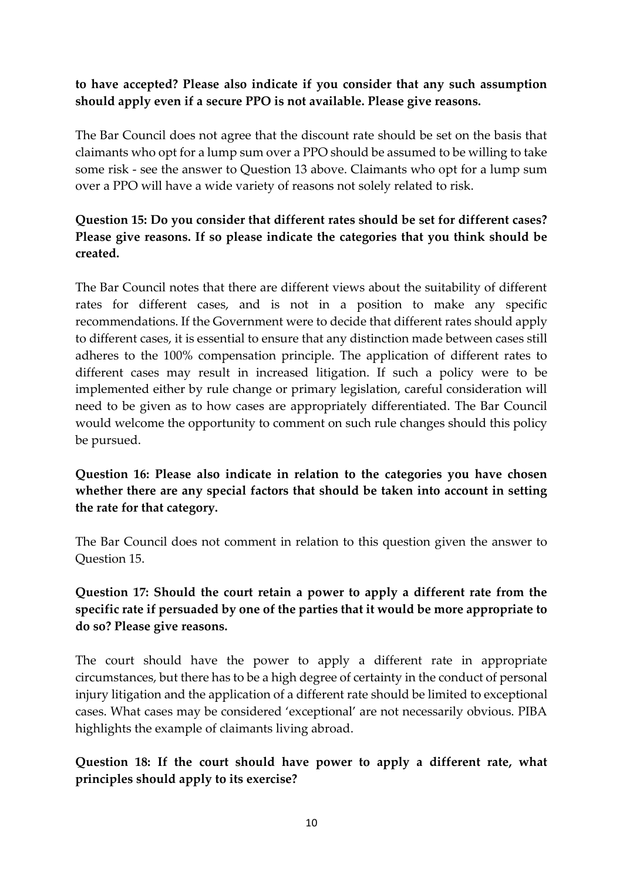#### **to have accepted? Please also indicate if you consider that any such assumption should apply even if a secure PPO is not available. Please give reasons.**

The Bar Council does not agree that the discount rate should be set on the basis that claimants who opt for a lump sum over a PPO should be assumed to be willing to take some risk - see the answer to Question 13 above. Claimants who opt for a lump sum over a PPO will have a wide variety of reasons not solely related to risk.

# **Question 15: Do you consider that different rates should be set for different cases? Please give reasons. If so please indicate the categories that you think should be created.**

The Bar Council notes that there are different views about the suitability of different rates for different cases, and is not in a position to make any specific recommendations. If the Government were to decide that different rates should apply to different cases, it is essential to ensure that any distinction made between cases still adheres to the 100% compensation principle. The application of different rates to different cases may result in increased litigation. If such a policy were to be implemented either by rule change or primary legislation, careful consideration will need to be given as to how cases are appropriately differentiated. The Bar Council would welcome the opportunity to comment on such rule changes should this policy be pursued.

### **Question 16: Please also indicate in relation to the categories you have chosen whether there are any special factors that should be taken into account in setting the rate for that category.**

The Bar Council does not comment in relation to this question given the answer to Question 15.

### **Question 17: Should the court retain a power to apply a different rate from the specific rate if persuaded by one of the parties that it would be more appropriate to do so? Please give reasons.**

The court should have the power to apply a different rate in appropriate circumstances, but there has to be a high degree of certainty in the conduct of personal injury litigation and the application of a different rate should be limited to exceptional cases. What cases may be considered 'exceptional' are not necessarily obvious. PIBA highlights the example of claimants living abroad.

### **Question 18: If the court should have power to apply a different rate, what principles should apply to its exercise?**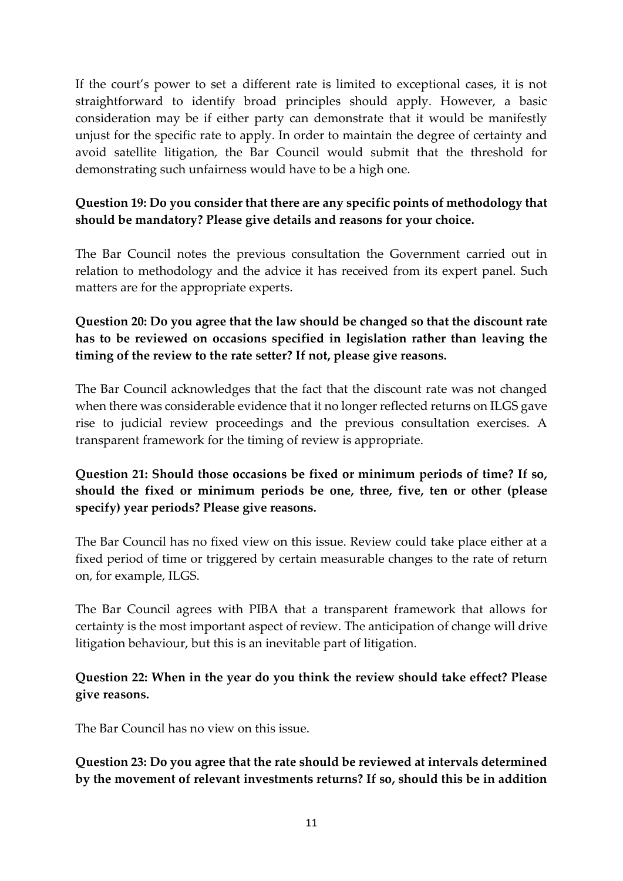If the court's power to set a different rate is limited to exceptional cases, it is not straightforward to identify broad principles should apply. However, a basic consideration may be if either party can demonstrate that it would be manifestly unjust for the specific rate to apply. In order to maintain the degree of certainty and avoid satellite litigation, the Bar Council would submit that the threshold for demonstrating such unfairness would have to be a high one.

### **Question 19: Do you consider that there are any specific points of methodology that should be mandatory? Please give details and reasons for your choice.**

The Bar Council notes the previous consultation the Government carried out in relation to methodology and the advice it has received from its expert panel. Such matters are for the appropriate experts.

### **Question 20: Do you agree that the law should be changed so that the discount rate has to be reviewed on occasions specified in legislation rather than leaving the timing of the review to the rate setter? If not, please give reasons.**

The Bar Council acknowledges that the fact that the discount rate was not changed when there was considerable evidence that it no longer reflected returns on ILGS gave rise to judicial review proceedings and the previous consultation exercises. A transparent framework for the timing of review is appropriate.

# **Question 21: Should those occasions be fixed or minimum periods of time? If so, should the fixed or minimum periods be one, three, five, ten or other (please specify) year periods? Please give reasons.**

The Bar Council has no fixed view on this issue. Review could take place either at a fixed period of time or triggered by certain measurable changes to the rate of return on, for example, ILGS.

The Bar Council agrees with PIBA that a transparent framework that allows for certainty is the most important aspect of review. The anticipation of change will drive litigation behaviour, but this is an inevitable part of litigation.

### **Question 22: When in the year do you think the review should take effect? Please give reasons.**

The Bar Council has no view on this issue.

#### **Question 23: Do you agree that the rate should be reviewed at intervals determined by the movement of relevant investments returns? If so, should this be in addition**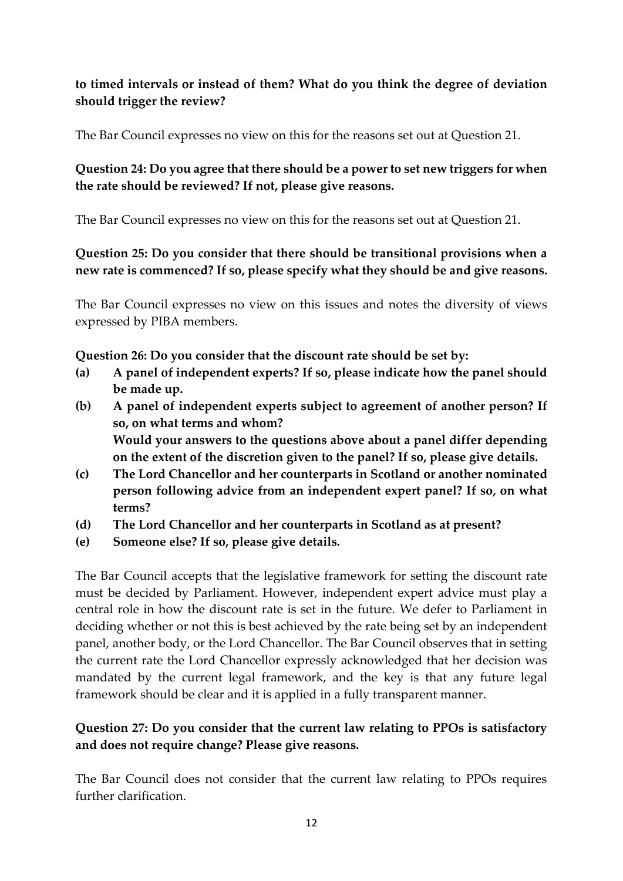### **to timed intervals or instead of them? What do you think the degree of deviation should trigger the review?**

The Bar Council expresses no view on this for the reasons set out at Question 21.

#### **Question 24: Do you agree that there should be a power to set new triggers for when the rate should be reviewed? If not, please give reasons.**

The Bar Council expresses no view on this for the reasons set out at Question 21.

#### **Question 25: Do you consider that there should be transitional provisions when a new rate is commenced? If so, please specify what they should be and give reasons.**

The Bar Council expresses no view on this issues and notes the diversity of views expressed by PIBA members.

#### **Question 26: Do you consider that the discount rate should be set by:**

- **(a) A panel of independent experts? If so, please indicate how the panel should be made up.**
- **(b) A panel of independent experts subject to agreement of another person? If so, on what terms and whom? Would your answers to the questions above about a panel differ depending on the extent of the discretion given to the panel? If so, please give details.**
- **(c) The Lord Chancellor and her counterparts in Scotland or another nominated person following advice from an independent expert panel? If so, on what terms?**
- **(d) The Lord Chancellor and her counterparts in Scotland as at present?**
- **(e) Someone else? If so, please give details.**

The Bar Council accepts that the legislative framework for setting the discount rate must be decided by Parliament. However, independent expert advice must play a central role in how the discount rate is set in the future. We defer to Parliament in deciding whether or not this is best achieved by the rate being set by an independent panel, another body, or the Lord Chancellor. The Bar Council observes that in setting the current rate the Lord Chancellor expressly acknowledged that her decision was mandated by the current legal framework, and the key is that any future legal framework should be clear and it is applied in a fully transparent manner.

### **Question 27: Do you consider that the current law relating to PPOs is satisfactory and does not require change? Please give reasons.**

The Bar Council does not consider that the current law relating to PPOs requires further clarification.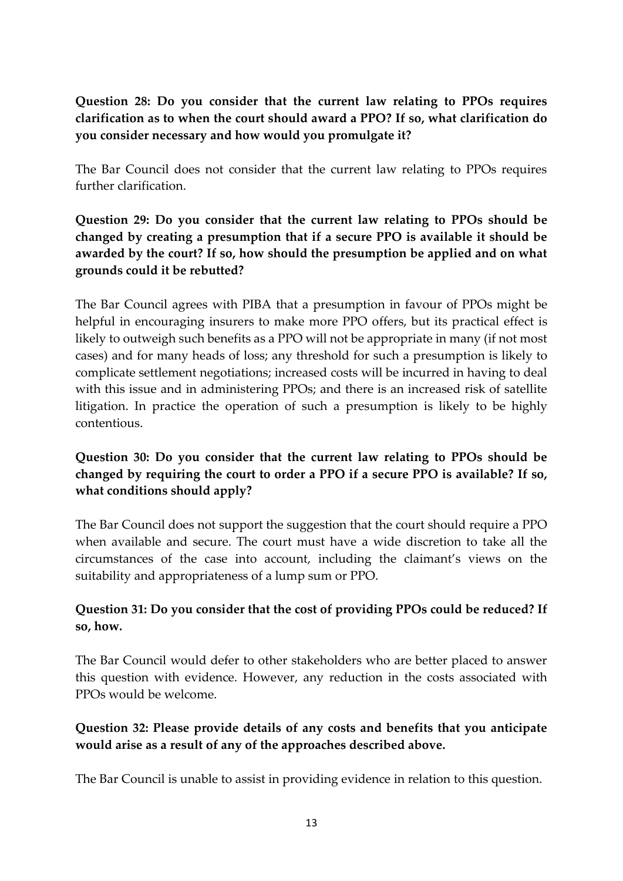**Question 28: Do you consider that the current law relating to PPOs requires clarification as to when the court should award a PPO? If so, what clarification do you consider necessary and how would you promulgate it?**

The Bar Council does not consider that the current law relating to PPOs requires further clarification.

# **Question 29: Do you consider that the current law relating to PPOs should be changed by creating a presumption that if a secure PPO is available it should be awarded by the court? If so, how should the presumption be applied and on what grounds could it be rebutted?**

The Bar Council agrees with PIBA that a presumption in favour of PPOs might be helpful in encouraging insurers to make more PPO offers, but its practical effect is likely to outweigh such benefits as a PPO will not be appropriate in many (if not most cases) and for many heads of loss; any threshold for such a presumption is likely to complicate settlement negotiations; increased costs will be incurred in having to deal with this issue and in administering PPOs; and there is an increased risk of satellite litigation. In practice the operation of such a presumption is likely to be highly contentious.

# **Question 30: Do you consider that the current law relating to PPOs should be changed by requiring the court to order a PPO if a secure PPO is available? If so, what conditions should apply?**

The Bar Council does not support the suggestion that the court should require a PPO when available and secure. The court must have a wide discretion to take all the circumstances of the case into account, including the claimant's views on the suitability and appropriateness of a lump sum or PPO.

# **Question 31: Do you consider that the cost of providing PPOs could be reduced? If so, how.**

The Bar Council would defer to other stakeholders who are better placed to answer this question with evidence. However, any reduction in the costs associated with PPOs would be welcome.

### **Question 32: Please provide details of any costs and benefits that you anticipate would arise as a result of any of the approaches described above.**

The Bar Council is unable to assist in providing evidence in relation to this question.